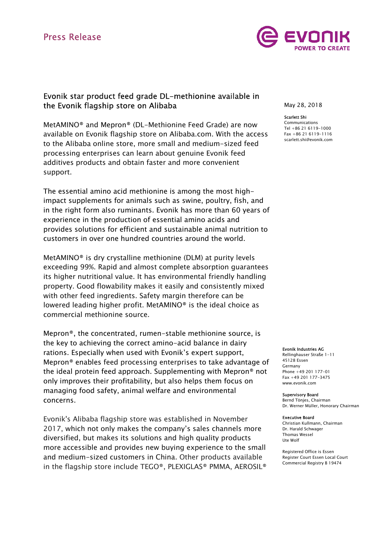# Press Release



## Evonik star product feed grade DL-methionine available in the Evonik flagship store on Alibaba

MetAMINO® and Mepron® (DL-Methionine Feed Grade) are now available on Evonik flagship store on Alibaba.com. With the access to the Alibaba online store, more small and medium-sized feed processing enterprises can learn about genuine Evonik feed additives products and obtain faster and more convenient support.

The essential amino acid methionine is among the most highimpact supplements for animals such as swine, poultry, fish, and in the right form also ruminants. Evonik has more than 60 years of experience in the production of essential amino acids and provides solutions for efficient and sustainable animal nutrition to customers in over one hundred countries around the world.

MetAMINO® is dry crystalline methionine (DLM) at purity levels exceeding 99%. Rapid and almost complete absorption guarantees its higher nutritional value. It has environmental friendly handling property. Good flowability makes it easily and consistently mixed with other feed ingredients. Safety margin therefore can be lowered leading higher profit. MetAMINO® is the ideal choice as commercial methionine source.

Mepron®, the concentrated, rumen-stable methionine source, is the key to achieving the correct amino-acid balance in dairy rations. Especially when used with Evonik's expert support, Mepron® enables feed processing enterprises to take advantage of the ideal protein feed approach. Supplementing with Mepron® not only improves their profitability, but also helps them focus on managing food safety, animal welfare and environmental concerns.

Evonik's Alibaba flagship store was established in November 2017, which not only makes the company's sales channels more diversified, but makes its solutions and high quality products more accessible and provides new buying experience to the small and medium-sized customers in China. Other products available in the flagship store include TEGO®, PLEXIGLAS® PMMA, AEROSIL® May 28, 2018

#### Scarlett Shi

Communications Tel +86 21 6119-1000 Fax +86 21 6119-1116 scarlett.shi@evonik.com

#### Evonik Industries AG

Rellinghauser Straße 1-11 45128 Essen Germany Phone +49 201 177-01 Fax +49 201 177-3475 www.evonik.com

#### Supervisory Board

Bernd Tönjes, Chairman Dr. Werner Müller, Honorary Chairman

#### Executive Board

Christian Kullmann, Chairman Dr. Harald Schwager Thomas Wessel Ute Wolf

Registered Office is Essen Register Court Essen Local Court Commercial Registry B 19474